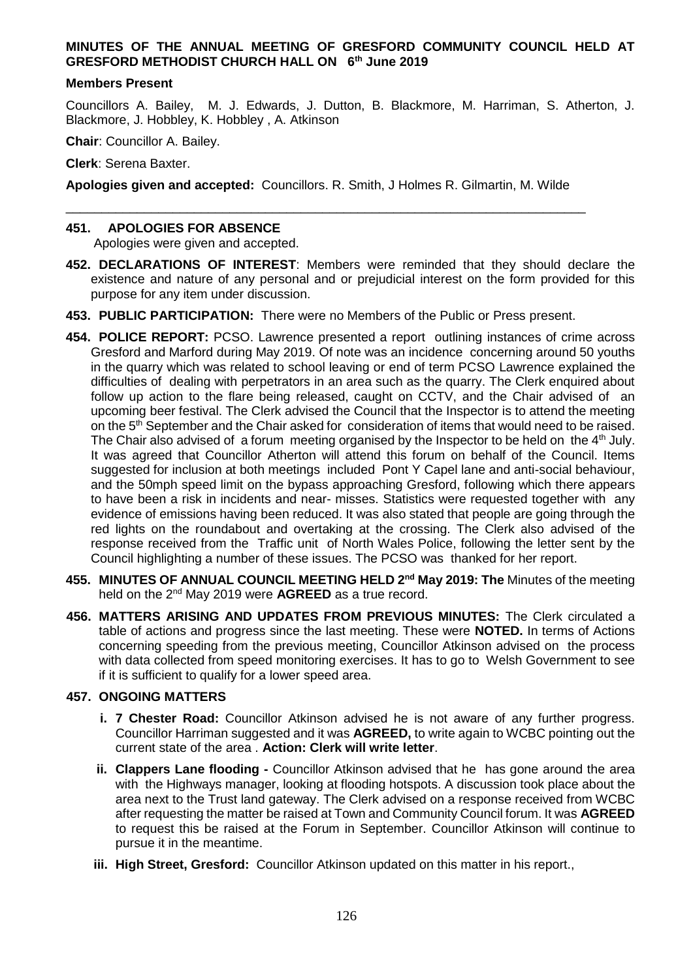# **MINUTES OF THE ANNUAL MEETING OF GRESFORD COMMUNITY COUNCIL HELD AT GRESFORD METHODIST CHURCH HALL ON 6th June 2019**

#### **Members Present**

Councillors A. Bailey, M. J. Edwards, J. Dutton, B. Blackmore, M. Harriman, S. Atherton, J. Blackmore, J. Hobbley, K. Hobbley , A. Atkinson

**Chair**: Councillor A. Bailey.

**Clerk**: Serena Baxter.

**Apologies given and accepted:** Councillors. R. Smith, J Holmes R. Gilmartin, M. Wilde

\_\_\_\_\_\_\_\_\_\_\_\_\_\_\_\_\_\_\_\_\_\_\_\_\_\_\_\_\_\_\_\_\_\_\_\_\_\_\_\_\_\_\_\_\_\_\_\_\_\_\_\_\_\_\_\_\_\_\_\_\_\_\_\_\_\_\_\_\_\_\_\_\_

### **451. APOLOGIES FOR ABSENCE**

Apologies were given and accepted.

- **452. DECLARATIONS OF INTEREST**: Members were reminded that they should declare the existence and nature of any personal and or prejudicial interest on the form provided for this purpose for any item under discussion.
- **453. PUBLIC PARTICIPATION:** There were no Members of the Public or Press present.
- **454. POLICE REPORT:** PCSO. Lawrence presented a report outlining instances of crime across Gresford and Marford during May 2019. Of note was an incidence concerning around 50 youths in the quarry which was related to school leaving or end of term PCSO Lawrence explained the difficulties of dealing with perpetrators in an area such as the quarry. The Clerk enquired about follow up action to the flare being released, caught on CCTV, and the Chair advised of an upcoming beer festival. The Clerk advised the Council that the Inspector is to attend the meeting on the 5<sup>th</sup> September and the Chair asked for consideration of items that would need to be raised. The Chair also advised of a forum meeting organised by the Inspector to be held on the 4<sup>th</sup> July. It was agreed that Councillor Atherton will attend this forum on behalf of the Council. Items suggested for inclusion at both meetings included Pont Y Capel lane and anti-social behaviour, and the 50mph speed limit on the bypass approaching Gresford, following which there appears to have been a risk in incidents and near- misses. Statistics were requested together with any evidence of emissions having been reduced. It was also stated that people are going through the red lights on the roundabout and overtaking at the crossing. The Clerk also advised of the response received from the Traffic unit of North Wales Police, following the letter sent by the Council highlighting a number of these issues. The PCSO was thanked for her report.
- **455. MINUTES OF ANNUAL COUNCIL MEETING HELD 2nd May 2019: The** Minutes of the meeting held on the 2nd May 2019 were **AGREED** as a true record.
- **456. MATTERS ARISING AND UPDATES FROM PREVIOUS MINUTES:** The Clerk circulated a table of actions and progress since the last meeting. These were **NOTED.** In terms of Actions concerning speeding from the previous meeting, Councillor Atkinson advised on the process with data collected from speed monitoring exercises. It has to go to Welsh Government to see if it is sufficient to qualify for a lower speed area.

# **457. ONGOING MATTERS**

- **i. 7 Chester Road:** Councillor Atkinson advised he is not aware of any further progress. Councillor Harriman suggested and it was **AGREED,** to write again to WCBC pointing out the current state of the area . **Action: Clerk will write letter**.
- **ii. Clappers Lane flooding -** Councillor Atkinson advised that he has gone around the area with the Highways manager, looking at flooding hotspots. A discussion took place about the area next to the Trust land gateway. The Clerk advised on a response received from WCBC after requesting the matter be raised at Town and Community Council forum. It was **AGREED**  to request this be raised at the Forum in September. Councillor Atkinson will continue to pursue it in the meantime.
- **iii. High Street, Gresford:** Councillor Atkinson updated on this matter in his report.,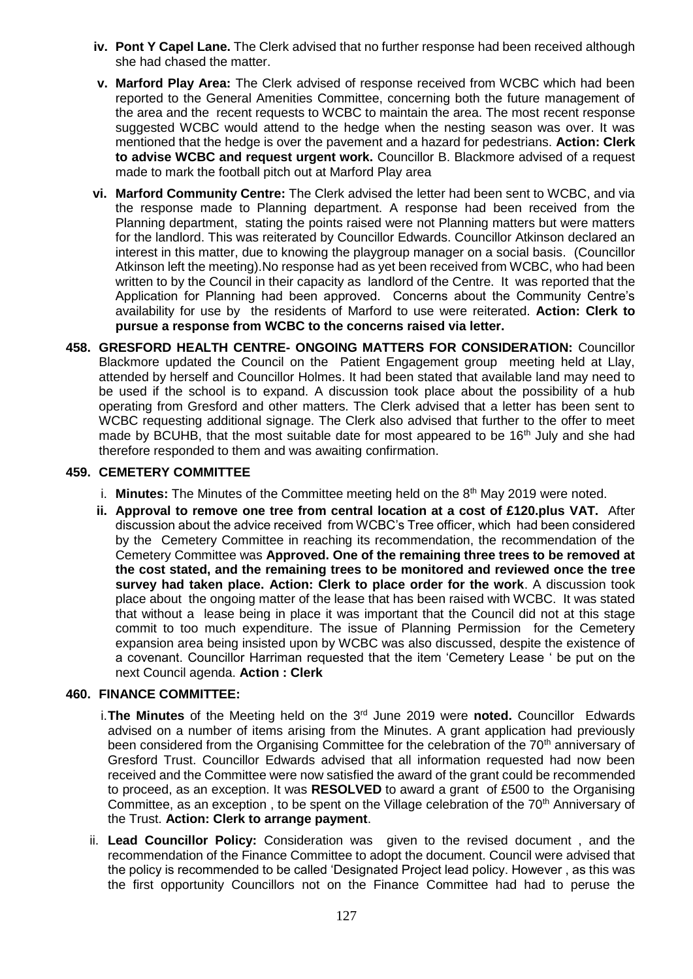- **iv. Pont Y Capel Lane.** The Clerk advised that no further response had been received although she had chased the matter.
- **v. Marford Play Area:** The Clerk advised of response received from WCBC which had been reported to the General Amenities Committee, concerning both the future management of the area and the recent requests to WCBC to maintain the area. The most recent response suggested WCBC would attend to the hedge when the nesting season was over. It was mentioned that the hedge is over the pavement and a hazard for pedestrians. **Action: Clerk to advise WCBC and request urgent work.** Councillor B. Blackmore advised of a request made to mark the football pitch out at Marford Play area
- **vi. Marford Community Centre:** The Clerk advised the letter had been sent to WCBC, and via the response made to Planning department. A response had been received from the Planning department, stating the points raised were not Planning matters but were matters for the landlord. This was reiterated by Councillor Edwards. Councillor Atkinson declared an interest in this matter, due to knowing the playgroup manager on a social basis. (Councillor Atkinson left the meeting).No response had as yet been received from WCBC, who had been written to by the Council in their capacity as landlord of the Centre. It was reported that the Application for Planning had been approved. Concerns about the Community Centre's availability for use by the residents of Marford to use were reiterated. **Action: Clerk to pursue a response from WCBC to the concerns raised via letter.**
- **458. GRESFORD HEALTH CENTRE- ONGOING MATTERS FOR CONSIDERATION:** Councillor Blackmore updated the Council on the Patient Engagement group meeting held at Llay, attended by herself and Councillor Holmes. It had been stated that available land may need to be used if the school is to expand. A discussion took place about the possibility of a hub operating from Gresford and other matters. The Clerk advised that a letter has been sent to WCBC requesting additional signage. The Clerk also advised that further to the offer to meet made by BCUHB, that the most suitable date for most appeared to be  $16<sup>th</sup>$  July and she had therefore responded to them and was awaiting confirmation.

### **459. CEMETERY COMMITTEE**

- i. **Minutes:** The Minutes of the Committee meeting held on the 8<sup>th</sup> May 2019 were noted.
- **ii. Approval to remove one tree from central location at a cost of £120.plus VAT.** After discussion about the advice received from WCBC's Tree officer, which had been considered by the Cemetery Committee in reaching its recommendation, the recommendation of the Cemetery Committee was **Approved. One of the remaining three trees to be removed at the cost stated, and the remaining trees to be monitored and reviewed once the tree survey had taken place. Action: Clerk to place order for the work**. A discussion took place about the ongoing matter of the lease that has been raised with WCBC. It was stated that without a lease being in place it was important that the Council did not at this stage commit to too much expenditure. The issue of Planning Permission for the Cemetery expansion area being insisted upon by WCBC was also discussed, despite the existence of a covenant. Councillor Harriman requested that the item 'Cemetery Lease ' be put on the next Council agenda. **Action : Clerk**

# **460. FINANCE COMMITTEE:**

- i.**The Minutes** of the Meeting held on the 3rd June 2019 were **noted.** Councillor Edwards advised on a number of items arising from the Minutes. A grant application had previously been considered from the Organising Committee for the celebration of the 70<sup>th</sup> anniversary of Gresford Trust. Councillor Edwards advised that all information requested had now been received and the Committee were now satisfied the award of the grant could be recommended to proceed, as an exception. It was **RESOLVED** to award a grant of £500 to the Organising Committee, as an exception, to be spent on the Village celebration of the  $70<sup>th</sup>$  Anniversary of the Trust. **Action: Clerk to arrange payment**.
- ii. **Lead Councillor Policy:** Consideration was given to the revised document , and the recommendation of the Finance Committee to adopt the document. Council were advised that the policy is recommended to be called 'Designated Project lead policy. However , as this was the first opportunity Councillors not on the Finance Committee had had to peruse the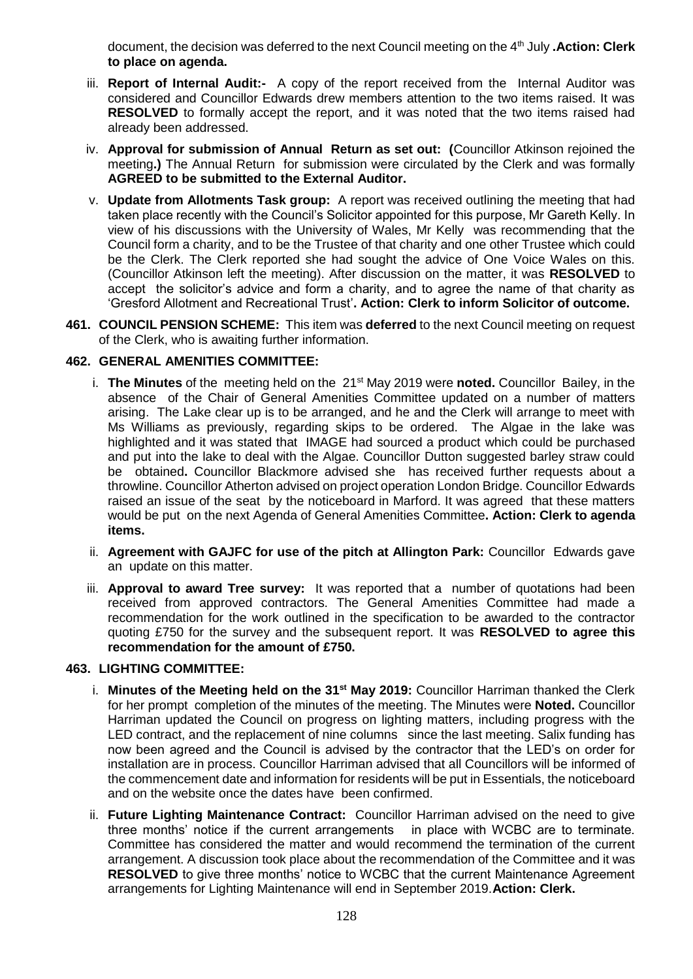document, the decision was deferred to the next Council meeting on the 4th July **.Action: Clerk to place on agenda.**

- iii. **Report of Internal Audit:-** A copy of the report received from the Internal Auditor was considered and Councillor Edwards drew members attention to the two items raised. It was **RESOLVED** to formally accept the report, and it was noted that the two items raised had already been addressed.
- iv. **Approval for submission of Annual Return as set out: (**Councillor Atkinson rejoined the meeting**.)** The Annual Return for submission were circulated by the Clerk and was formally **AGREED to be submitted to the External Auditor.**
- v. **Update from Allotments Task group:** A report was received outlining the meeting that had taken place recently with the Council's Solicitor appointed for this purpose, Mr Gareth Kelly. In view of his discussions with the University of Wales, Mr Kelly was recommending that the Council form a charity, and to be the Trustee of that charity and one other Trustee which could be the Clerk. The Clerk reported she had sought the advice of One Voice Wales on this. (Councillor Atkinson left the meeting). After discussion on the matter, it was **RESOLVED** to accept the solicitor's advice and form a charity, and to agree the name of that charity as 'Gresford Allotment and Recreational Trust'**. Action: Clerk to inform Solicitor of outcome.**
- **461. COUNCIL PENSION SCHEME:** This item was **deferred** to the next Council meeting on request of the Clerk, who is awaiting further information.

# **462. GENERAL AMENITIES COMMITTEE:**

- i. **The Minutes** of the meeting held on the 21st May 2019 were **noted.** Councillor Bailey, in the absence of the Chair of General Amenities Committee updated on a number of matters arising. The Lake clear up is to be arranged, and he and the Clerk will arrange to meet with Ms Williams as previously, regarding skips to be ordered. The Algae in the lake was highlighted and it was stated that IMAGE had sourced a product which could be purchased and put into the lake to deal with the Algae. Councillor Dutton suggested barley straw could be obtained**.** Councillor Blackmore advised she has received further requests about a throwline. Councillor Atherton advised on project operation London Bridge. Councillor Edwards raised an issue of the seat by the noticeboard in Marford. It was agreed that these matters would be put on the next Agenda of General Amenities Committee**. Action: Clerk to agenda items.**
- ii. **Agreement with GAJFC for use of the pitch at Allington Park:** Councillor Edwards gave an update on this matter.
- iii. **Approval to award Tree survey:** It was reported that a number of quotations had been received from approved contractors. The General Amenities Committee had made a recommendation for the work outlined in the specification to be awarded to the contractor quoting £750 for the survey and the subsequent report. It was **RESOLVED to agree this recommendation for the amount of £750.**

#### **463. LIGHTING COMMITTEE:**

- i. **Minutes of the Meeting held on the 31st May 2019:** Councillor Harriman thanked the Clerk for her prompt completion of the minutes of the meeting. The Minutes were **Noted.** Councillor Harriman updated the Council on progress on lighting matters, including progress with the LED contract, and the replacement of nine columns since the last meeting. Salix funding has now been agreed and the Council is advised by the contractor that the LED's on order for installation are in process. Councillor Harriman advised that all Councillors will be informed of the commencement date and information for residents will be put in Essentials, the noticeboard and on the website once the dates have been confirmed.
- ii. **Future Lighting Maintenance Contract:** Councillor Harriman advised on the need to give three months' notice if the current arrangements in place with WCBC are to terminate. Committee has considered the matter and would recommend the termination of the current arrangement. A discussion took place about the recommendation of the Committee and it was **RESOLVED** to give three months' notice to WCBC that the current Maintenance Agreement arrangements for Lighting Maintenance will end in September 2019.**Action: Clerk.**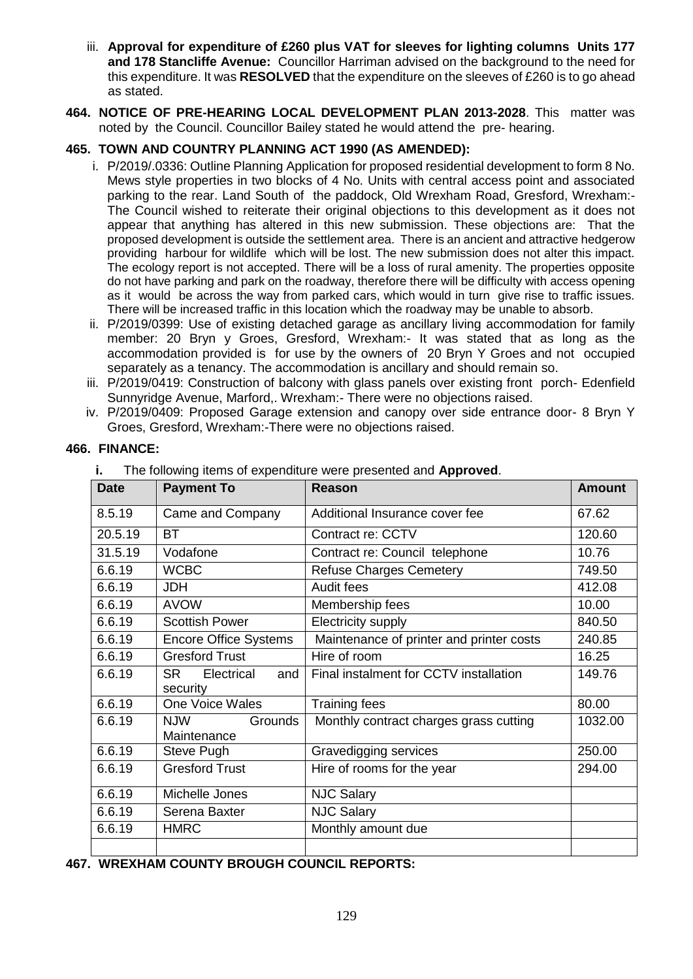- iii. **Approval for expenditure of £260 plus VAT for sleeves for lighting columns Units 177 and 178 Stancliffe Avenue:** Councillor Harriman advised on the background to the need for this expenditure. It was **RESOLVED** that the expenditure on the sleeves of £260 is to go ahead as stated.
- **464. NOTICE OF PRE-HEARING LOCAL DEVELOPMENT PLAN 2013-2028**. This matter was noted by the Council. Councillor Bailey stated he would attend the pre- hearing.

# **465. TOWN AND COUNTRY PLANNING ACT 1990 (AS AMENDED):**

- i. P/2019/.0336: Outline Planning Application for proposed residential development to form 8 No. Mews style properties in two blocks of 4 No. Units with central access point and associated parking to the rear. Land South of the paddock, Old Wrexham Road, Gresford, Wrexham:- The Council wished to reiterate their original objections to this development as it does not appear that anything has altered in this new submission. These objections are: That the proposed development is outside the settlement area. There is an ancient and attractive hedgerow providing harbour for wildlife which will be lost. The new submission does not alter this impact. The ecology report is not accepted. There will be a loss of rural amenity. The properties opposite do not have parking and park on the roadway, therefore there will be difficulty with access opening as it would be across the way from parked cars, which would in turn give rise to traffic issues. There will be increased traffic in this location which the roadway may be unable to absorb.
- ii. P/2019/0399: Use of existing detached garage as ancillary living accommodation for family member: 20 Bryn y Groes, Gresford, Wrexham:- It was stated that as long as the accommodation provided is for use by the owners of 20 Bryn Y Groes and not occupied separately as a tenancy. The accommodation is ancillary and should remain so.
- iii. P/2019/0419: Construction of balcony with glass panels over existing front porch- Edenfield Sunnyridge Avenue, Marford,. Wrexham:- There were no objections raised.
- iv. P/2019/0409: Proposed Garage extension and canopy over side entrance door- 8 Bryn Y Groes, Gresford, Wrexham:-There were no objections raised.

| <b>Date</b> | <b>Payment To</b>                          | <b>Reason</b>                            | <b>Amount</b> |
|-------------|--------------------------------------------|------------------------------------------|---------------|
| 8.5.19      | Came and Company                           | Additional Insurance cover fee           | 67.62         |
| 20.5.19     | <b>BT</b>                                  | Contract re: CCTV                        | 120.60        |
| 31.5.19     | Vodafone                                   | Contract re: Council telephone           | 10.76         |
| 6.6.19      | <b>WCBC</b>                                | <b>Refuse Charges Cemetery</b>           | 749.50        |
| 6.6.19      | <b>JDH</b>                                 | Audit fees                               | 412.08        |
| 6.6.19      | <b>AVOW</b>                                | Membership fees                          | 10.00         |
| 6.6.19      | <b>Scottish Power</b>                      | Electricity supply                       | 840.50        |
| 6.6.19      | <b>Encore Office Systems</b>               | Maintenance of printer and printer costs | 240.85        |
| 6.6.19      | <b>Gresford Trust</b>                      | Hire of room                             | 16.25         |
| 6.6.19      | <b>SR</b><br>Electrical<br>and<br>security | Final instalment for CCTV installation   | 149.76        |
| 6.6.19      | One Voice Wales                            | <b>Training fees</b>                     | 80.00         |
| 6.6.19      | <b>NJW</b><br>Grounds<br>Maintenance       | Monthly contract charges grass cutting   | 1032.00       |
| 6.6.19      | Steve Pugh                                 | Gravedigging services                    | 250.00        |
| 6.6.19      | <b>Gresford Trust</b>                      | Hire of rooms for the year               | 294.00        |
| 6.6.19      | Michelle Jones                             | <b>NJC Salary</b>                        |               |
| 6.6.19      | Serena Baxter                              | <b>NJC Salary</b>                        |               |
| 6.6.19      | <b>HMRC</b>                                | Monthly amount due                       |               |
|             |                                            |                                          |               |

### **466. FINANCE:**

|  |  | The following items of expenditure were presented and Approved. |
|--|--|-----------------------------------------------------------------|
|  |  |                                                                 |

**467. WREXHAM COUNTY BROUGH COUNCIL REPORTS:**